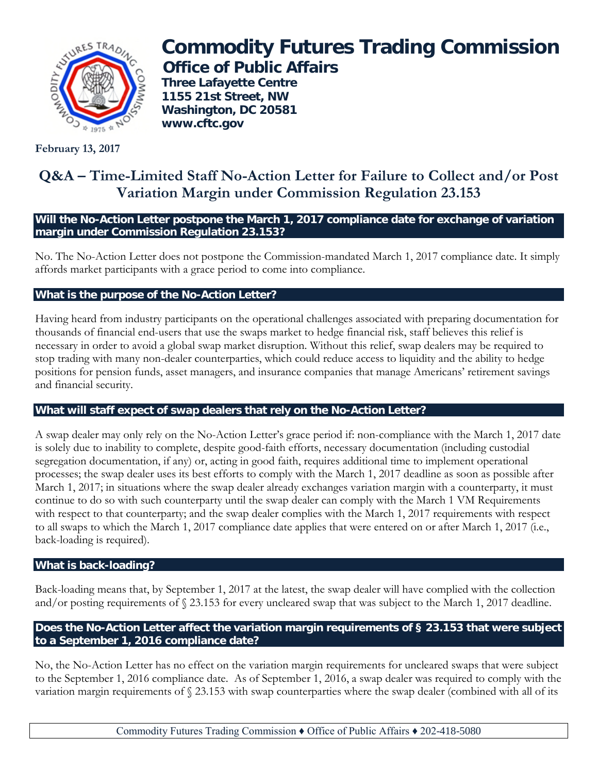

# **Commodity Futures Trading Commission Office of Public Affairs**

**Three Lafayette Centre 1155 21st Street, NW Washington, DC 20581 www.cftc.gov**

**February 13, 2017**

## **Q&A – Time-Limited Staff No-Action Letter for Failure to Collect and/or Post Variation Margin under Commission Regulation 23.153**

**Will the No-Action Letter postpone the March 1, 2017 compliance date for exchange of variation margin under Commission Regulation 23.153?**

No. The No-Action Letter does not postpone the Commission-mandated March 1, 2017 compliance date. It simply affords market participants with a grace period to come into compliance.

#### **What is the purpose of the No-Action Letter?**

Having heard from industry participants on the operational challenges associated with preparing documentation for thousands of financial end-users that use the swaps market to hedge financial risk, staff believes this relief is necessary in order to avoid a global swap market disruption. Without this relief, swap dealers may be required to stop trading with many non-dealer counterparties, which could reduce access to liquidity and the ability to hedge positions for pension funds, asset managers, and insurance companies that manage Americans' retirement savings and financial security.

#### **What will staff expect of swap dealers that rely on the No-Action Letter?**

A swap dealer may only rely on the No-Action Letter's grace period if: non-compliance with the March 1, 2017 date is solely due to inability to complete, despite good-faith efforts, necessary documentation (including custodial segregation documentation, if any) or, acting in good faith, requires additional time to implement operational processes; the swap dealer uses its best efforts to comply with the March 1, 2017 deadline as soon as possible after March 1, 2017; in situations where the swap dealer already exchanges variation margin with a counterparty, it must continue to do so with such counterparty until the swap dealer can comply with the March 1 VM Requirements with respect to that counterparty; and the swap dealer complies with the March 1, 2017 requirements with respect to all swaps to which the March 1, 2017 compliance date applies that were entered on or after March 1, 2017 (i.e., back-loading is required).

#### **What is back-loading?**

Back-loading means that, by September 1, 2017 at the latest, the swap dealer will have complied with the collection and/or posting requirements of § 23.153 for every uncleared swap that was subject to the March 1, 2017 deadline.

#### **Does the No-Action Letter affect the variation margin requirements of § 23.153 that were subject to a September 1, 2016 compliance date?**

No, the No-Action Letter has no effect on the variation margin requirements for uncleared swaps that were subject to the September 1, 2016 compliance date. As of September 1, 2016, a swap dealer was required to comply with the variation margin requirements of § 23.153 with swap counterparties where the swap dealer (combined with all of its